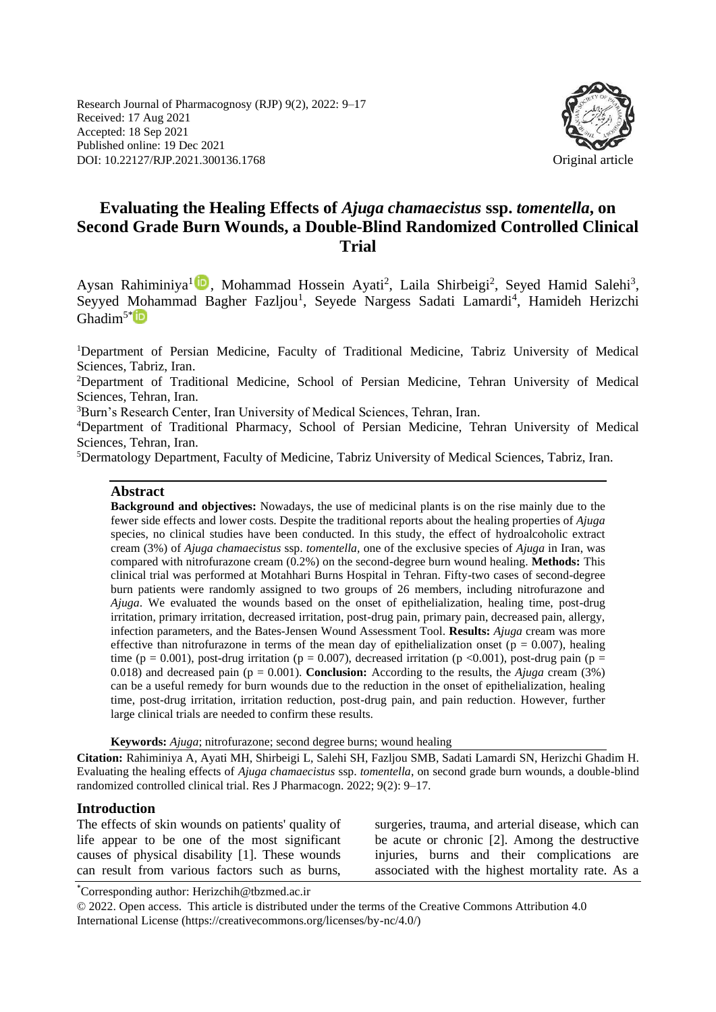Research Journal of Pharmacognosy (RJP) 9(2), 2022: 9–17 Received: 17 Aug 2021 Accepted: 18 Sep 2021 Published online: 19 Dec 2021 DOI: 10.22127/RJP.2021.300136.1768 Original article



# **Evaluating the Healing Effects of** *Ajuga chamaecistus* **ssp.** *tomentella***, on Second Grade Burn Wounds, a Double-Blind Randomized Controlled Clinical Trial**

Aysan Rahiminiya<sup>l in</sup>, Mohammad Hossein Ayati<sup>2</sup>, Laila Shirbeigi<sup>2</sup>, Seyed Hamid Salehi<sup>3</sup>, Seyyed Mohammad Bagher Fazljou<sup>1</sup>, Seyede Nargess Sadati Lamardi<sup>4</sup>, Hamideh Herizchi  $G$ hadim<sup>5[\\*](https://orcid.org/0000-0002-5076-7379)</sup> $ID$ 

<sup>1</sup>Department of Persian Medicine, Faculty of Traditional Medicine, Tabriz University of Medical Sciences, Tabriz, Iran.

<sup>2</sup>Department of Traditional Medicine, School of Persian Medicine, Tehran University of Medical Sciences, Tehran, Iran.

<sup>3</sup>Burn's Research Center, Iran University of Medical Sciences, Tehran, Iran.

<sup>4</sup>Department of Traditional Pharmacy, School of Persian Medicine, Tehran University of Medical Sciences, Tehran, Iran.

<sup>5</sup>Dermatology Department, Faculty of Medicine, Tabriz University of Medical Sciences, Tabriz, Iran.

#### **Abstract**

**Background and objectives:** Nowadays, the use of medicinal plants is on the rise mainly due to the fewer side effects and lower costs. Despite the traditional reports about the healing properties of *Ajuga*  species, no clinical studies have been conducted. In this study, the effect of hydroalcoholic extract cream (3%) of *Ajuga chamaecistus* ssp. *tomentella,* one of the exclusive species of *Ajuga* in Iran, was compared with nitrofurazone cream (0.2%) on the second-degree burn wound healing. **Methods:** This clinical trial was performed at Motahhari Burns Hospital in Tehran. Fifty-two cases of second-degree burn patients were randomly assigned to two groups of 26 members, including nitrofurazone and *Ajuga*. We evaluated the wounds based on the onset of epithelialization, healing time, post-drug irritation, primary irritation, decreased irritation, post-drug pain, primary pain, decreased pain, allergy, infection parameters, and the Bates-Jensen Wound Assessment Tool. **Results:** *Ajuga* cream was more effective than nitrofurazone in terms of the mean day of epithelialization onset ( $p = 0.007$ ), healing time (p = 0.001), post-drug irritation (p = 0.007), decreased irritation (p < 0.001), post-drug pain (p = 0.018) and decreased pain (p = 0.001). **Conclusion:** According to the results, the *Ajuga* cream (3%) can be a useful remedy for burn wounds due to the reduction in the onset of epithelialization, healing time, post-drug irritation, irritation reduction, post-drug pain, and pain reduction. However, further large clinical trials are needed to confirm these results.

**Keywords:** *Ajuga*; nitrofurazone; second degree burns; wound healing

**Citation:** Rahiminiya A, Ayati MH, Shirbeigi L, Salehi SH, Fazljou SMB, Sadati Lamardi SN, Herizchi Ghadim H. Evaluating the healing effects of *Ajuga chamaecistus* ssp. *tomentella*, on second grade burn wounds, a double-blind randomized controlled clinical trial. Res J Pharmacogn. 2022; 9(2): 9–17.

#### **Introduction**

The effects of skin wounds on patients' quality of life appear to be one of the most significant causes of physical disability [1]. These wounds can result from various factors such as burns, surgeries, trauma, and arterial disease, which can be acute or chronic [2]. Among the destructive injuries, burns and their complications are associated with the highest mortality rate. As a

\*Corresponding author: Herizchih@tbzmed.ac.ir

© 2022. Open access. This article is distributed under the terms of the Creative Commons Attribution 4.0 International License (https://creativecommons.org/licenses/by-nc/4.0/)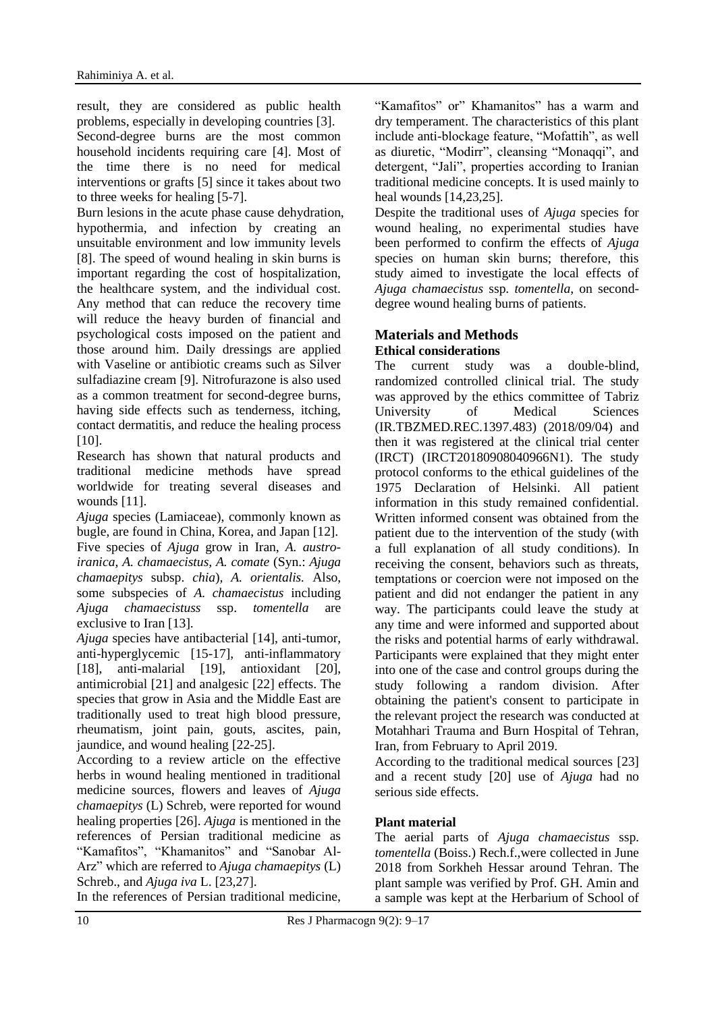result, they are considered as public health problems, especially in developing countries [3]. Second-degree burns are the most common household incidents requiring care [4]. Most of the time there is no need for medical interventions or grafts [5] since it takes about two to three weeks for healing [5-7].

Burn lesions in the acute phase cause dehydration, hypothermia, and infection by creating an unsuitable environment and low immunity levels [8]. The speed of wound healing in skin burns is important regarding the cost of hospitalization, the healthcare system, and the individual cost. Any method that can reduce the recovery time will reduce the heavy burden of financial and psychological costs imposed on the patient and those around him. Daily dressings are applied with Vaseline or antibiotic creams such as Silver sulfadiazine cream [9]. Nitrofurazone is also used as a common treatment for second-degree burns, having side effects such as tenderness, itching, contact dermatitis, and reduce the healing process [10].

Research has shown that natural products and traditional medicine methods have spread worldwide for treating several diseases and wounds [11].

*Ajuga* species (Lamiaceae), commonly known as bugle, are found in China, Korea, and Japan [12]. Five species of *Ajuga* grow in Iran, *A. austroiranica, A. chamaecistus, A. comate* (Syn.: *Ajuga chamaepitys* subsp. *chia*)*, A. orientalis.* Also, some subspecies of *A. chamaecistus* including *Ajuga chamaecistuss* ssp. *tomentella* are exclusive to Iran [13].

*Ajuga* species have antibacterial [14], anti-tumor, anti-hyperglycemic [15-17], anti-inflammatory [18], anti-malarial [19], antioxidant [20], antimicrobial [21] and analgesic [22] effects. The species that grow in Asia and the Middle East are traditionally used to treat high blood pressure, rheumatism, joint pain, gouts, ascites, pain, jaundice, and wound healing [22-25].

According to a review article on the effective herbs in wound healing mentioned in traditional medicine sources, flowers and leaves of *Ajuga chamaepitys* (L) Schreb, were reported for wound healing properties [26]. *Ajuga* is mentioned in the references of Persian traditional medicine as "Kamafitos", "Khamanitos" and "Sanobar Al-Arz" which are referred to *Ajuga chamaepitys* (L) Schreb., and *Ajuga iva* L. [23,27].

In the references of Persian traditional medicine,

"Kamafitos" or" Khamanitos" has a warm and dry temperament. The characteristics of this plant include anti-blockage feature, "Mofattih", as well as diuretic, "Modirr", cleansing "Monaqqi", and detergent, "Jali", properties according to Iranian traditional medicine concepts. It is used mainly to heal wounds [14,23,25].

Despite the traditional uses of *Ajuga* species for wound healing, no experimental studies have been performed to confirm the effects of *Ajuga*  species on human skin burns; therefore, this study aimed to investigate the local effects of *Ajuga chamaecistus* ssp. *tomentella*, on seconddegree wound healing burns of patients.

# **Materials and Methods**

# **Ethical considerations**

The current study was a double-blind, randomized controlled clinical trial. The study was approved by the ethics committee of Tabriz University of Medical Sciences (IR.TBZMED.REC.1397.483) (2018/09/04) and then it was registered at the clinical trial center (IRCT) (IRCT20180908040966N1). The study protocol conforms to the ethical guidelines of the 1975 Declaration of Helsinki. All patient information in this study remained confidential. Written informed consent was obtained from the patient due to the intervention of the study (with a full explanation of all study conditions). In receiving the consent, behaviors such as threats, temptations or coercion were not imposed on the patient and did not endanger the patient in any way. The participants could leave the study at any time and were informed and supported about the risks and potential harms of early withdrawal. Participants were explained that they might enter into one of the case and control groups during the study following a random division. After obtaining the patient's consent to participate in the relevant project the research was conducted at Motahhari Trauma and Burn Hospital of Tehran, Iran, from February to April 2019.

According to the traditional medical sources [23] and a recent study [20] use of *Ajuga* had no serious side effects.

## **Plant material**

The aerial parts of *Ajuga chamaecistus* ssp. *tomentella* (Boiss.) Rech.f.,were collected in June 2018 from Sorkheh Hessar around Tehran. The plant sample was verified by Prof. GH. Amin and a sample was kept at the Herbarium of School of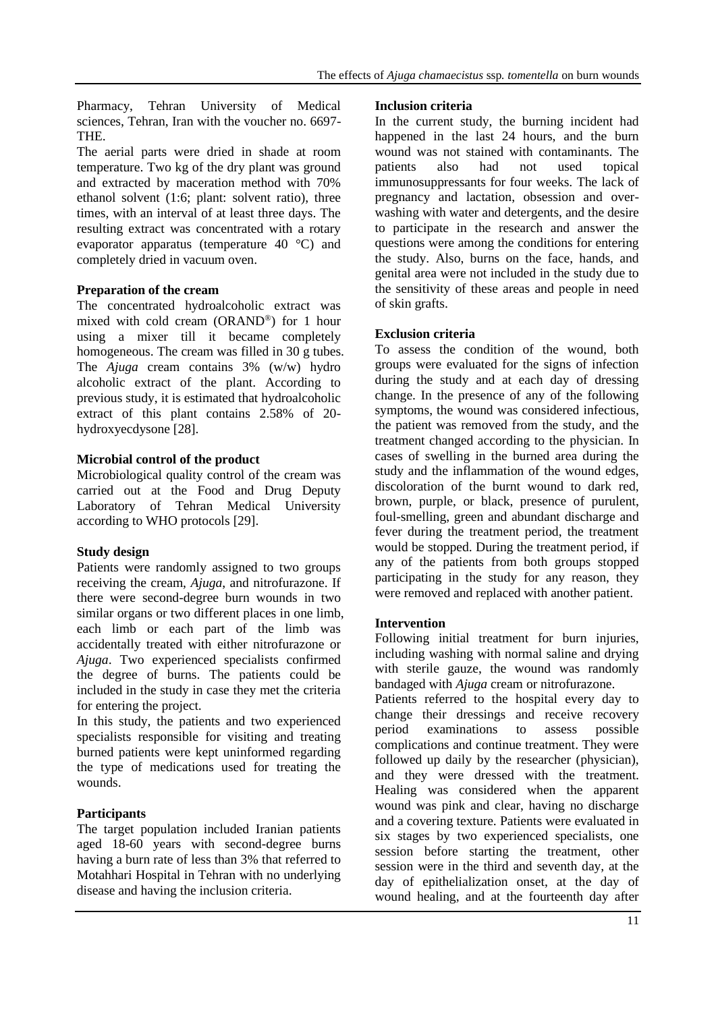Pharmacy, Tehran University of Medical sciences, Tehran, Iran with the voucher no. 6697- THE.

The aerial parts were dried in shade at room temperature. Two kg of the dry plant was ground and extracted by maceration method with 70% ethanol solvent (1:6; plant: solvent ratio), three times, with an interval of at least three days. The resulting extract was concentrated with a rotary evaporator apparatus (temperature 40 °C) and completely dried in vacuum oven.

### **Preparation of the cream**

The concentrated hydroalcoholic extract was mixed with cold cream (ORAND®) for 1 hour using a mixer till it became completely homogeneous. The cream was filled in 30 g tubes. The *Ajuga* cream contains 3% (w/w) hydro alcoholic extract of the plant. According to previous study, it is estimated that hydroalcoholic extract of this plant contains 2.58% of 20 hydroxyecdysone [28].

### **Microbial control of the product**

Microbiological quality control of the cream was carried out at the Food and Drug Deputy Laboratory of Tehran Medical University according to WHO protocols [29].

## **Study design**

Patients were randomly assigned to two groups receiving the cream, *Ajuga*, and nitrofurazone. If there were second-degree burn wounds in two similar organs or two different places in one limb, each limb or each part of the limb was accidentally treated with either nitrofurazone or *Ajuga*. Two experienced specialists confirmed the degree of burns. The patients could be included in the study in case they met the criteria for entering the project.

In this study, the patients and two experienced specialists responsible for visiting and treating burned patients were kept uninformed regarding the type of medications used for treating the wounds.

## **Participants**

The target population included Iranian patients aged 18-60 years with second-degree burns having a burn rate of less than 3% that referred to Motahhari Hospital in Tehran with no underlying disease and having the inclusion criteria.

#### **Inclusion criteria**

In the current study, the burning incident had happened in the last 24 hours, and the burn wound was not stained with contaminants. The patients also had not used topical immunosuppressants for four weeks. The lack of pregnancy and lactation, obsession and overwashing with water and detergents, and the desire to participate in the research and answer the questions were among the conditions for entering the study. Also, burns on the face, hands, and genital area were not included in the study due to the sensitivity of these areas and people in need of skin grafts.

### **Exclusion criteria**

To assess the condition of the wound, both groups were evaluated for the signs of infection during the study and at each day of dressing change. In the presence of any of the following symptoms, the wound was considered infectious, the patient was removed from the study, and the treatment changed according to the physician. In cases of swelling in the burned area during the study and the inflammation of the wound edges, discoloration of the burnt wound to dark red, brown, purple, or black, presence of purulent, foul-smelling, green and abundant discharge and fever during the treatment period, the treatment would be stopped. During the treatment period, if any of the patients from both groups stopped participating in the study for any reason, they were removed and replaced with another patient.

#### **Intervention**

Following initial treatment for burn injuries, including washing with normal saline and drying with sterile gauze, the wound was randomly bandaged with *Ajuga* cream or nitrofurazone.

Patients referred to the hospital every day to change their dressings and receive recovery period examinations to assess possible complications and continue treatment. They were followed up daily by the researcher (physician), and they were dressed with the treatment. Healing was considered when the apparent wound was pink and clear, having no discharge and a covering texture. Patients were evaluated in six stages by two experienced specialists, one session before starting the treatment, other session were in the third and seventh day, at the day of epithelialization onset, at the day of wound healing, and at the fourteenth day after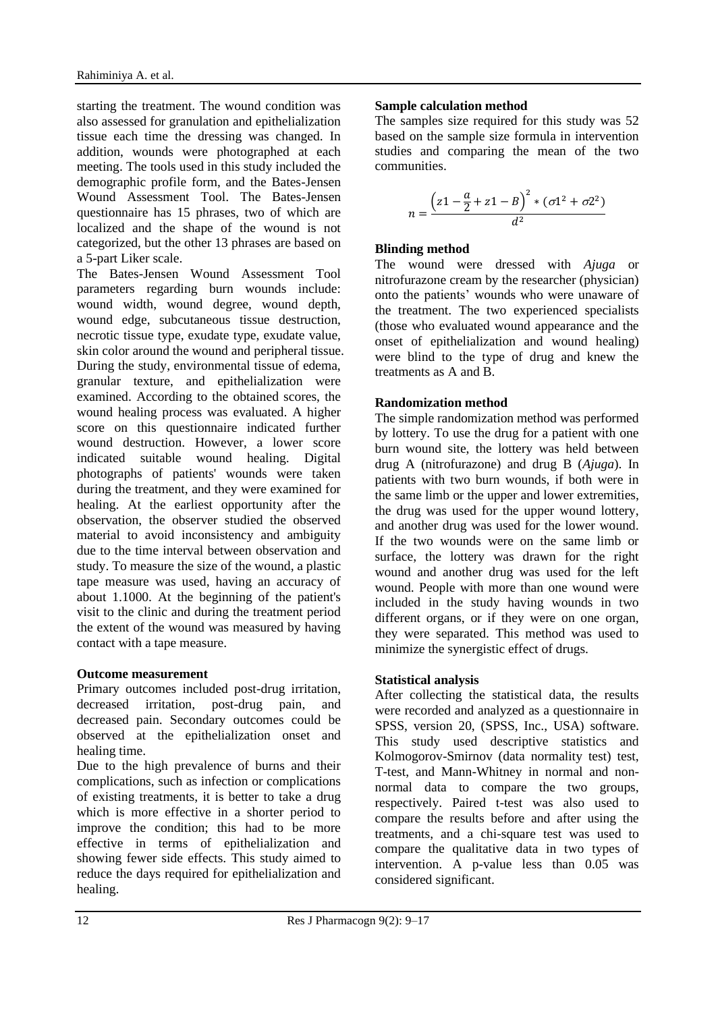starting the treatment. The wound condition was also assessed for granulation and epithelialization tissue each time the dressing was changed. In addition, wounds were photographed at each meeting. The tools used in this study included the demographic profile form, and the Bates-Jensen Wound Assessment Tool. The Bates-Jensen questionnaire has 15 phrases, two of which are localized and the shape of the wound is not categorized, but the other 13 phrases are based on a 5-part Liker scale.

The Bates-Jensen Wound Assessment Tool parameters regarding burn wounds include: wound width, wound degree, wound depth, wound edge, subcutaneous tissue destruction, necrotic tissue type, exudate type, exudate value, skin color around the wound and peripheral tissue. During the study, environmental tissue of edema, granular texture, and epithelialization were examined. According to the obtained scores, the wound healing process was evaluated. A higher score on this questionnaire indicated further wound destruction. However, a lower score indicated suitable wound healing. Digital photographs of patients' wounds were taken during the treatment, and they were examined for healing. At the earliest opportunity after the observation, the observer studied the observed material to avoid inconsistency and ambiguity due to the time interval between observation and study. To measure the size of the wound, a plastic tape measure was used, having an accuracy of about 1.1000. At the beginning of the patient's visit to the clinic and during the treatment period the extent of the wound was measured by having contact with a tape measure.

## **Outcome measurement**

Primary outcomes included post-drug irritation, decreased irritation, post-drug pain, and decreased pain. Secondary outcomes could be observed at the epithelialization onset and healing time.

Due to the high prevalence of burns and their complications, such as infection or complications of existing treatments, it is better to take a drug which is more effective in a shorter period to improve the condition; this had to be more effective in terms of epithelialization and showing fewer side effects. This study aimed to reduce the days required for epithelialization and healing.

# **Sample calculation method**

The samples size required for this study was 52 based on the sample size formula in intervention studies and comparing the mean of the two communities.

$$
n = \frac{\left(z1 - \frac{a}{2} + z1 - B\right)^2 * (\sigma_1^2 + \sigma_2^2)}{d^2}
$$

# **Blinding method**

The wound were dressed with *Ajuga* or nitrofurazone cream by the researcher (physician) onto the patients' wounds who were unaware of the treatment. The two experienced specialists (those who evaluated wound appearance and the onset of epithelialization and wound healing) were blind to the type of drug and knew the treatments as A and B.

# **Randomization method**

The simple randomization method was performed by lottery. To use the drug for a patient with one burn wound site, the lottery was held between drug A (nitrofurazone) and drug B (*Ajuga*). In patients with two burn wounds, if both were in the same limb or the upper and lower extremities, the drug was used for the upper wound lottery, and another drug was used for the lower wound. If the two wounds were on the same limb or surface, the lottery was drawn for the right wound and another drug was used for the left wound. People with more than one wound were included in the study having wounds in two different organs, or if they were on one organ, they were separated. This method was used to minimize the synergistic effect of drugs.

## **Statistical analysis**

After collecting the statistical data, the results were recorded and analyzed as a questionnaire in SPSS, version 20, (SPSS, Inc., USA) software. This study used descriptive statistics and Kolmogorov-Smirnov (data normality test) test, T-test, and Mann-Whitney in normal and nonnormal data to compare the two groups, respectively. Paired t-test was also used to compare the results before and after using the treatments, and a chi-square test was used to compare the qualitative data in two types of intervention. A p-value less than 0.05 was considered significant.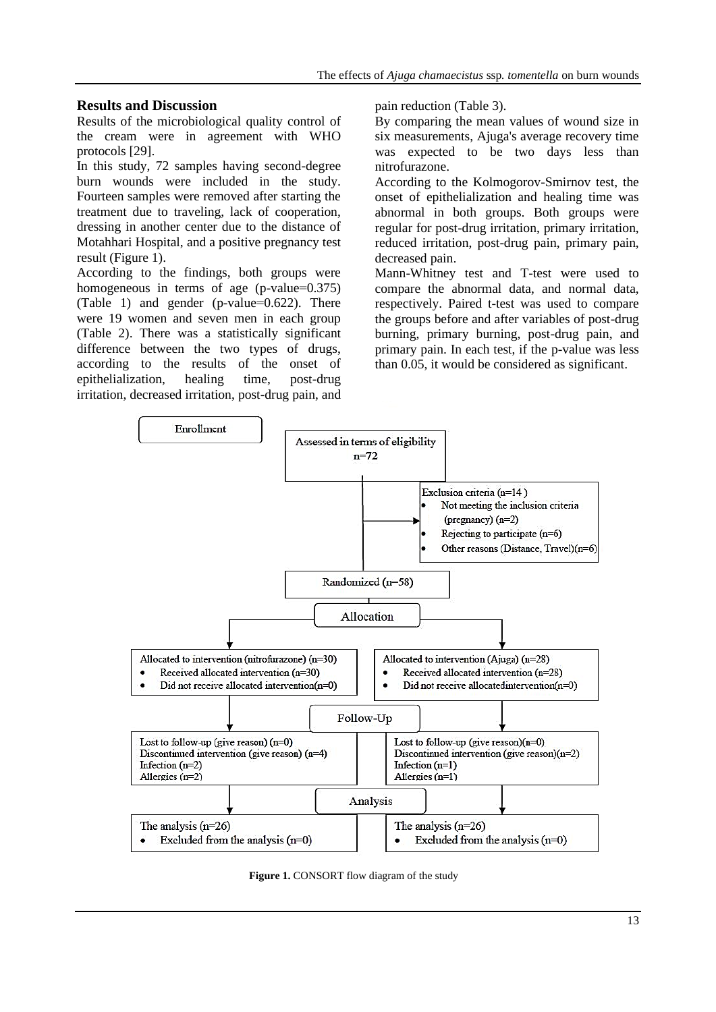#### **Results and Discussion**

Results of the microbiological quality control of the cream were in agreement with WHO protocols [29].

In this study, 72 samples having second-degree burn wounds were included in the study. Fourteen samples were removed after starting the treatment due to traveling, lack of cooperation, dressing in another center due to the distance of Motahhari Hospital, and a positive pregnancy test result (Figure 1).

According to the findings, both groups were homogeneous in terms of age (p-value=0.375) (Table 1) and gender (p-value=0.622). There were 19 women and seven men in each group (Table 2). There was a statistically significant difference between the two types of drugs, according to the results of the onset of epithelialization, healing time, post-drug irritation, decreased irritation, post-drug pain, and pain reduction (Table 3).

By comparing the mean values of wound size in six measurements, Ajuga's average recovery time was expected to be two days less than nitrofurazone.

According to the Kolmogorov-Smirnov test, the onset of epithelialization and healing time was abnormal in both groups. Both groups were regular for post-drug irritation, primary irritation, reduced irritation, post-drug pain, primary pain, decreased pain.

Mann-Whitney test and T-test were used to compare the abnormal data, and normal data, respectively. Paired t-test was used to compare the groups before and after variables of post-drug burning, primary burning, post-drug pain, and primary pain. In each test, if the p-value was less than 0.05, it would be considered as significant.



**Figure 1.** CONSORT flow diagram of the study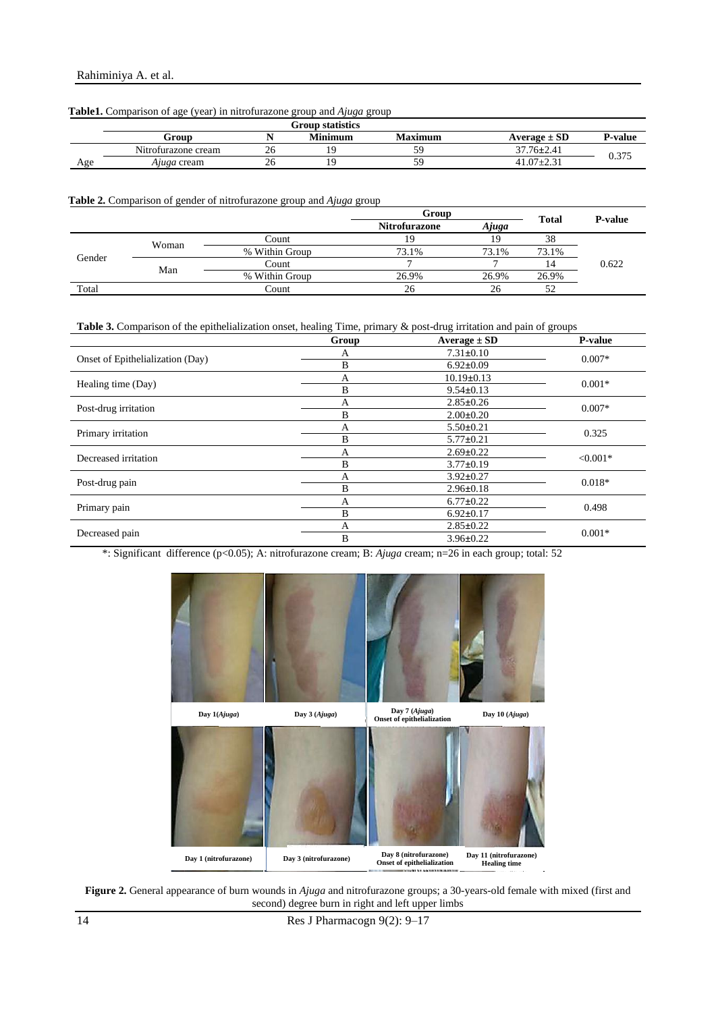|     | Group               |    | <b>Minimum</b> | Maximum | Average $\pm$ SD | <b>P-value</b> |
|-----|---------------------|----|----------------|---------|------------------|----------------|
|     | Nitrofurazone cream | ΖO | Q              |         | $37.76 \pm 2.41$ |                |
| Age | <i>Ajuga</i> cream  | ΖO | Q              |         | $41.07 \pm 2.31$ | 0.375          |

#### **Table1.** Comparison of age (year) in nitrofurazone group and *Ajuga* group

#### **Table 2.** Comparison of gender of nitrofurazone group and *Ajuga* group

|        |              |                | Group                         |       | <b>Total</b> | <b>P-value</b> |  |
|--------|--------------|----------------|-------------------------------|-------|--------------|----------------|--|
|        |              |                | <b>Nitrofurazone</b><br>Ajuga |       |              |                |  |
|        | Woman<br>Man | Count          |                               |       | 38           |                |  |
| Gender |              | % Within Group | 73.1%                         | 73.1% | 73.1%        |                |  |
|        |              | Count          |                               |       | 14           | 0.622          |  |
|        |              | % Within Group | 26.9%                         | 26.9% | 26.9%        |                |  |
| Total  |              | Count          | 26                            | 26    | 50           |                |  |

#### **Table 3.** Comparison of the epithelialization onset, healing Time, primary & post-drug irritation and pain of groups

|                                  | Group                                         | Average $\pm$ SD                        | P-value  |  |
|----------------------------------|-----------------------------------------------|-----------------------------------------|----------|--|
|                                  | А                                             | $7.31 \pm 0.10$                         |          |  |
| Onset of Epithelialization (Day) | B<br>$6.92 \pm 0.09$                          |                                         | $0.007*$ |  |
|                                  | $10.19 \pm 0.13$<br>A<br>B<br>$9.54 \pm 0.13$ |                                         | $0.001*$ |  |
| Healing time (Day)               |                                               |                                         |          |  |
|                                  | A                                             | $2.85 \pm 0.26$                         |          |  |
| Post-drug irritation             | B                                             | $2.00 \pm 0.20$                         | $0.007*$ |  |
|                                  | А                                             | $5.50 \pm 0.21$<br>B<br>$5.77 \pm 0.21$ |          |  |
| Primary irritation               |                                               |                                         |          |  |
| Decreased irritation             | A                                             | $2.69 \pm 0.22$<br>B<br>$3.77 \pm 0.19$ |          |  |
|                                  |                                               |                                         |          |  |
|                                  | А                                             | $3.92 \pm 0.27$                         | $0.018*$ |  |
| Post-drug pain                   | B                                             | $2.96 \pm 0.18$                         |          |  |
|                                  | A                                             | $6.77 \pm 0.22$<br>B<br>$6.92 \pm 0.17$ |          |  |
| Primary pain                     |                                               |                                         |          |  |
|                                  | $2.85 \pm 0.22$<br>A                          |                                         | $0.001*$ |  |
| Decreased pain                   | B                                             | $3.96 \pm 0.22$                         |          |  |

\*: Significant difference (p<0.05); A: nitrofurazone cream; B: *Ajuga* cream; n=26 in each group; total: 52



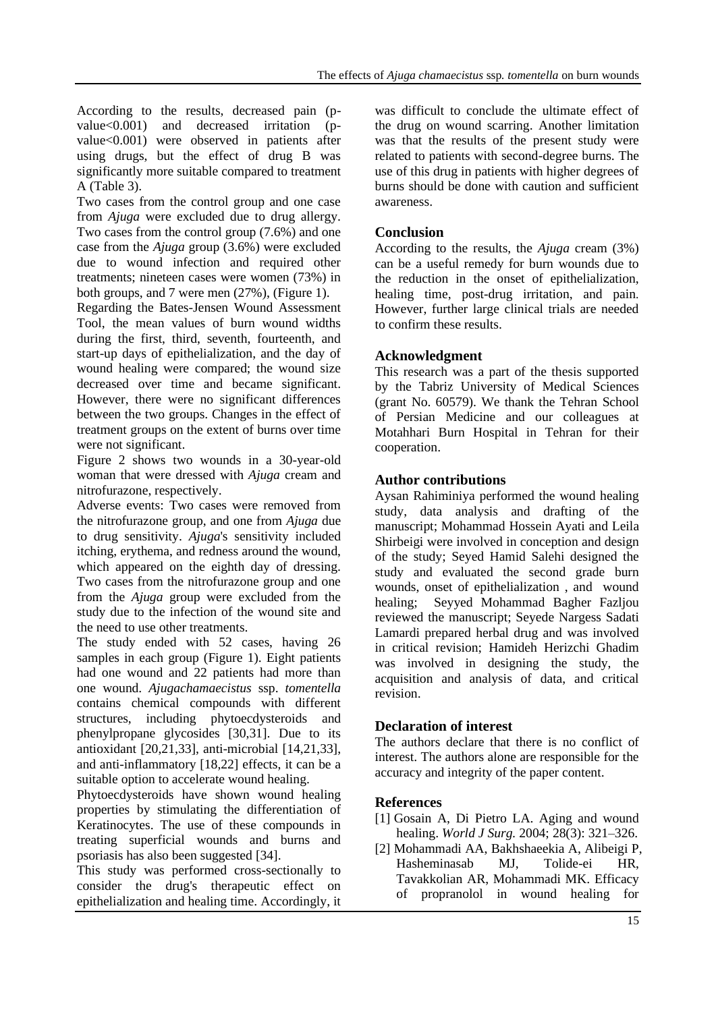According to the results, decreased pain (pvalue<0.001) and decreased irritation (pvalue<0.001) were observed in patients after using drugs, but the effect of drug B was significantly more suitable compared to treatment A (Table 3).

Two cases from the control group and one case from *Ajuga* were excluded due to drug allergy. Two cases from the control group (7.6%) and one case from the *Ajuga* group (3.6%) were excluded due to wound infection and required other treatments; nineteen cases were women (73%) in both groups, and 7 were men (27%), (Figure 1).

Regarding the Bates-Jensen Wound Assessment Tool, the mean values of burn wound widths during the first, third, seventh, fourteenth, and start-up days of epithelialization, and the day of wound healing were compared; the wound size decreased over time and became significant. However, there were no significant differences between the two groups. Changes in the effect of treatment groups on the extent of burns over time were not significant.

Figure 2 shows two wounds in a 30-year-old woman that were dressed with *Ajuga* cream and nitrofurazone, respectively.

Adverse events: Two cases were removed from the nitrofurazone group, and one from *Ajuga* due to drug sensitivity. *Ajuga*'s sensitivity included itching, erythema, and redness around the wound, which appeared on the eighth day of dressing. Two cases from the nitrofurazone group and one from the *Ajuga* group were excluded from the study due to the infection of the wound site and the need to use other treatments.

The study ended with 52 cases, having 26 samples in each group (Figure 1). Eight patients had one wound and 22 patients had more than one wound. *Ajugachamaecistus* ssp. *tomentella* contains chemical compounds with different structures, including phytoecdysteroids and phenylpropane glycosides [30,31]. Due to its antioxidant [20,21,33], anti-microbial [14,21,33], and anti-inflammatory [18,22] effects, it can be a suitable option to accelerate wound healing.

Phytoecdysteroids have shown wound healing properties by stimulating the differentiation of Keratinocytes. The use of these compounds in treating superficial wounds and burns and psoriasis has also been suggested [34].

This study was performed cross-sectionally to consider the drug's therapeutic effect on epithelialization and healing time. Accordingly, it was difficult to conclude the ultimate effect of the drug on wound scarring. Another limitation was that the results of the present study were related to patients with second-degree burns. The use of this drug in patients with higher degrees of burns should be done with caution and sufficient awareness.

# **Conclusion**

According to the results, the *Ajuga* cream (3%) can be a useful remedy for burn wounds due to the reduction in the onset of epithelialization, healing time, post-drug irritation, and pain. However, further large clinical trials are needed to confirm these results.

# **Acknowledgment**

This research was a part of the thesis supported by the Tabriz University of Medical Sciences (grant No. 60579). We thank the Tehran School of Persian Medicine and our colleagues at Motahhari Burn Hospital in Tehran for their cooperation.

# **Author contributions**

Aysan Rahiminiya performed the wound healing study, data analysis and drafting of the manuscript; Mohammad Hossein Ayati and Leila Shirbeigi were involved in conception and design of the study; Seyed Hamid Salehi designed the study and evaluated the second grade burn wounds, onset of epithelialization , and wound healing; Seyyed Mohammad Bagher Fazljou reviewed the manuscript; Seyede Nargess Sadati Lamardi prepared herbal drug and was involved in critical revision; Hamideh Herizchi Ghadim was involved in designing the study, the acquisition and analysis of data, and critical revision.

# **Declaration of interest**

The authors declare that there is no conflict of interest. The authors alone are responsible for the accuracy and integrity of the paper content.

# **References**

- [1] Gosain A, Di Pietro LA. Aging and wound healing. *World J Surg.* 2004; 28(3): 321–326.
- [2] Mohammadi AA, Bakhshaeekia A, Alibeigi P, Hasheminasab MJ, Tolide-ei HR, Tavakkolian AR, Mohammadi MK. Efficacy of propranolol in wound healing for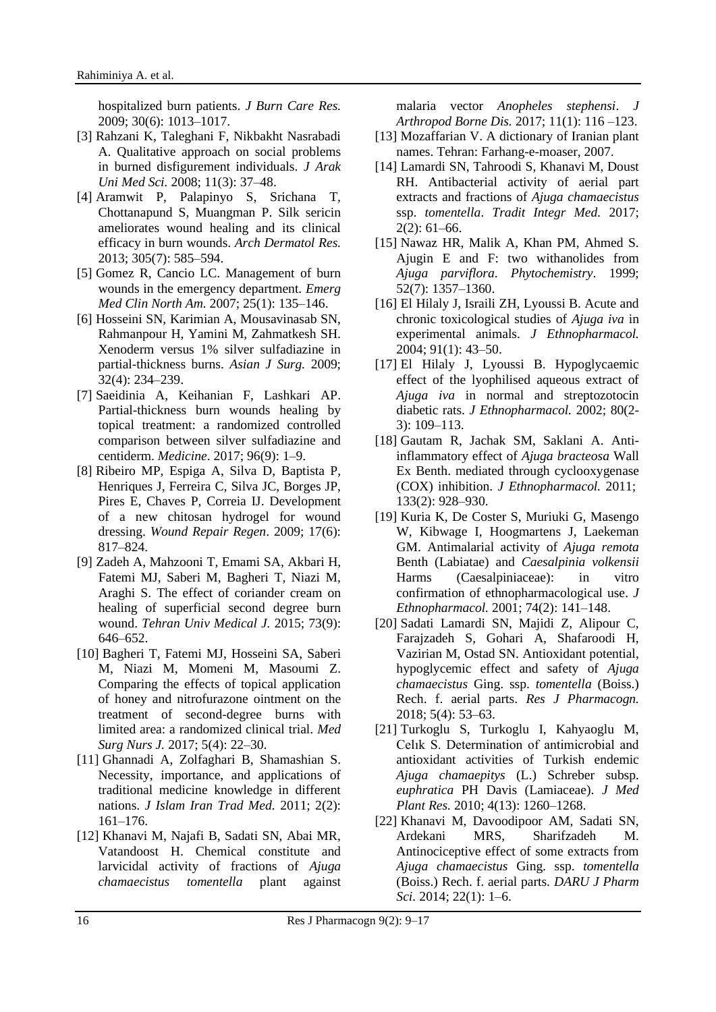hospitalized burn patients. *J Burn Care Res.* 2009; 30(6): 1013–1017.

- [3] Rahzani K, Taleghani F, Nikbakht Nasrabadi A. Qualitative approach on social problems in burned disfigurement individuals. *J Arak Uni Med Sci.* 2008; 11(3): 37–48.
- [4] Aramwit P, Palapinyo S, Srichana T, Chottanapund S, Muangman P. Silk sericin ameliorates wound healing and its clinical efficacy in burn wounds. *Arch Dermatol Res.*  2013; 305(7): 585–594.
- [5] Gomez R, Cancio LC. Management of burn wounds in the emergency department. *Emerg Med Clin North Am.* 2007; 25(1): 135–146.
- [6] Hosseini SN, Karimian A, Mousavinasab SN, Rahmanpour H, Yamini M, Zahmatkesh SH. Xenoderm versus 1% silver sulfadiazine in partial-thickness burns. *Asian J Surg.* 2009; 32(4): 234–239.
- [7] Saeidinia A, Keihanian F, Lashkari AP. Partial-thickness burn wounds healing by topical treatment: a randomized controlled comparison between silver sulfadiazine and centiderm. *Medicine*. 2017; 96(9): 1–9.
- [8] Ribeiro MP, Espiga A, Silva D, Baptista P, Henriques J, Ferreira C, Silva JC, Borges JP, Pires E, Chaves P, Correia IJ. Development of a new chitosan hydrogel for wound dressing. *Wound Repair Regen*. 2009; 17(6): 817–824.
- [9] Zadeh A, Mahzooni T, Emami SA, Akbari H, Fatemi MJ, Saberi M, Bagheri T, Niazi M, Araghi S. The effect of coriander cream on healing of superficial second degree burn wound. *Tehran Univ Medical J.* 2015; 73(9): 646–652.
- [10] Bagheri T, Fatemi MJ, Hosseini SA, Saberi M, Niazi M, Momeni M, Masoumi Z. Comparing the effects of topical application of honey and nitrofurazone ointment on the treatment of second-degree burns with limited area: a randomized clinical trial. *Med Surg Nurs J.* 2017; 5(4): 22–30.
- [11] Ghannadi A, Zolfaghari B, Shamashian S. Necessity, importance, and applications of traditional medicine knowledge in different nations. *J Islam Iran Trad Med.* 2011; 2(2): 161–176.
- [12] Khanavi M, Najafi B, Sadati SN, Abai MR, Vatandoost H. Chemical constitute and larvicidal activity of fractions of *Ajuga chamaecistus tomentella* plant against

malaria vector *Anopheles stephensi*. *J Arthropod Borne Dis.* 2017; 11(1): 116 –123.

- [13] Mozaffarian V. A dictionary of Iranian plant names. Tehran: Farhang-e-moaser, 2007.
- [14] Lamardi SN, Tahroodi S, Khanavi M, Doust RH. Antibacterial activity of aerial part extracts and fractions of *Ajuga chamaecistus* ssp. *tomentella*. *Tradit Integr Med.* 2017; 2(2): 61–66.
- [15] Nawaz HR, Malik A, Khan PM, Ahmed S. Ajugin E and F: two withanolides from *Ajuga parviflora*. *Phytochemistry*. 1999; 52(7): 1357–1360.
- [16] El Hilaly J, Israili ZH, Lyoussi B. Acute and chronic toxicological studies of *Ajuga iva* in experimental animals. *J Ethnopharmacol.* 2004; 91(1): 43–50.
- [17] El Hilaly J, Lyoussi B. Hypoglycaemic effect of the lyophilised aqueous extract of *Ajuga iva* in normal and streptozotocin diabetic rats. *J Ethnopharmacol.* 2002; 80(2- 3): 109–113.
- [18] Gautam R, Jachak SM, Saklani A. Antiinflammatory effect of *Ajuga bracteosa* Wall Ex Benth. mediated through cyclooxygenase (COX) inhibition. *J Ethnopharmacol.* 2011; 133(2): 928–930.
- [19] Kuria K, De Coster S, Muriuki G, Masengo W, Kibwage I, Hoogmartens J, Laekeman GM. Antimalarial activity of *Ajuga remota* Benth (Labiatae) and *Caesalpinia volkensii*  Harms (Caesalpiniaceae): in vitro confirmation of ethnopharmacological use. *J Ethnopharmacol.* 2001; 74(2): 141–148.
- [20] Sadati Lamardi SN, Majidi Z, Alipour C, Farajzadeh S, Gohari A, Shafaroodi H, Vazirian M, Ostad SN. Antioxidant potential, hypoglycemic effect and safety of *Ajuga chamaecistus* Ging. ssp. *tomentella* (Boiss.) Rech. f. aerial parts. *Res J Pharmacogn.* 2018; 5(4): 53–63.
- [21] Turkoglu S, Turkoglu I, Kahyaoglu M, Celık S. Determination of antimicrobial and antioxidant activities of Turkish endemic *Ajuga chamaepitys* (L.) Schreber subsp. *euphratica* PH Davis (Lamiaceae). *J Med Plant Res.* 2010; 4(13): 1260–1268.
- [22] Khanavi M, Davoodipoor AM, Sadati SN, Ardekani MRS, Sharifzadeh M. Antinociceptive effect of some extracts from *Ajuga chamaecistus* Ging. ssp. *tomentella* (Boiss.) Rech. f. aerial parts. *DARU J Pharm Sci.* 2014; 22(1): 1–6.